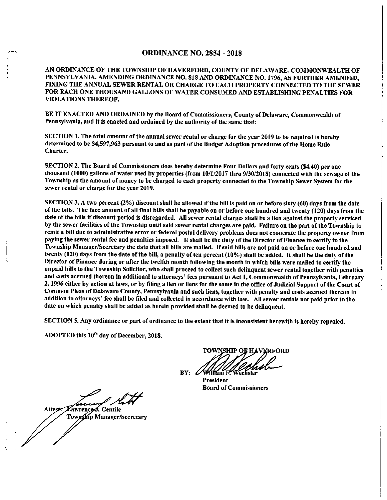#### ORDINANCE NO. 2854 - 2018

AN ORDINANCE OF THE TOWNSHIP OF HAVERFORD, COUNTY OF DELAWARE, COMMONWEALTH OF PENNSYLVANIA, AMENDING ORDINANCE NO. 818 AND ORDINANCE NO. 1796, AS FURTHER AMENDED, FIXING THE ANNUAL SEWER RENTAL OR CHARGE TO EACH PROPERTY CONNECTED TO THE SEWER FOR EACH ONE THOUSAND GALLONS OF WATER CONSUMED AND ESTABLISHING PENALTIES FOR VIOLATIONS THEREOF.

BE IT ENACTED AND ORDAINED by the Board of Commissioners, County of Delaware, Commonwealth of Pennsylvania, and it is enacted and ordained by the authority of the same that:

SECTION 1. The total amount of the annual sewer rental or charge for the year 2019 to be required is hereby determined to be \$4,597,963 pursuant to and as part of the Budget Adoption procedures of the Home Rule Charter.

SECTION 2. The Board of Commissioners does hereby determine Four Dollars and forty cents (\$4.40) per one thousand (1000) gallons of water used by properties (from 10/1/2017 thru 9/30/2018) connected with the sewage of the Township as the amount of money to be charged to each property connected to the Township Sewer System for the sewer rental or charge for the year 2019.

SECTION 3. A two percent (2%) discount shall be allowed if the bill is paid on or before sixty (60) days from the date of the bills. The face amount of all final bills shall be payable on or before one hundred and twenty (120) days from the date of the bills if discount period is disregarded. All sewer rental charges shall be a lien against the property serviced by the sewer facilities of the Township until said sewer rental charges are paid. Failure on the part of the Township to remit a bill due to administrative error or federal postal delivery problems does not exonerate the property owner from paying the sewer rental fee and penalties imposed. It shall be the duty of the Director of Finance to certify to the Township Manager/Secretary the date that all bills are mailed. If said bills are not paid on or before one hundred and twenty (120) days from the date of the bill, a penalty of ten percent (10%) shall be added. It shall be the duty of the Director of Finance during or after the twelfth month following the month in which bills were mailed to certify the unpaid bills to the Township Solicitor, who shall proceed to collect such delinquent sewer rental together with penalties and costs accrued thereon in additional to attorneys' fees pursuant to Act 1, Commonwealth of Pennsylvania, February 2, 1996 either by action at laws, or by filing a lien or liens for the same in the office of Judicial Support of the Court of Common Pleas of Delaware County, Pennsylvania and such liens, together with penalty and costs accrued thereon in addition to attorneys' fee shall be filed and collected in accordance with law. All sewer rentals not paid prior to the date on which penalty shall be added as herein provided shall be deemed to be delinquent.

SECTION 5. Any ordinance or part of ordinance to the extent that it is inconsistent herewith is hereby repealed.

ADOPTED this 10<sup>th</sup> day of December, 2018.

TOWNSHIP OE HAVERFORD  $BY: 100$ 

President Board of Commissioners

Zawrence f. Gentile Attest.

Township Manager/Secretary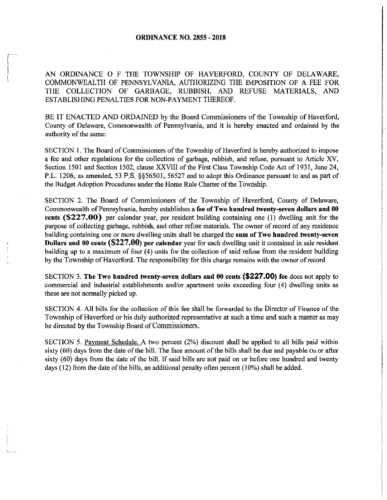AN ORDINANCE O F THE TOWNSHIP OF HAVERFORD, COUNTY OF DELAWARE, COMMONWEALTH OF PENNSYLVANIA, AUTHORIZING THE IMPOSITION OF A FEE FOR THE COLLECTION OF GARBAGE, RUBBISH, AND REFUSE MATERIALS, AND ESTABLISHING PENALTIES FOR NON-PAYMENT THEREOF.

BE IT ENACTED AND ORDAINED by the Board Commissioners of the Township of Haverford, County of Delaware, Commonwealth of Pennsylvania, and it is hereby enacted and ordained by the authority of the same:

SECTION I. The Board of Commissioners of the Township of Haverford is hereby authorized to impose a fee and other regulations for the collection of garbage, rubbish, and refuse, pursuant to Article XV, Section 1501 and Section 1502, clause XXVIII of the First Class Township Code Act of 1931, June 24, P.L. 1206, as amended, 53 P,S, §§56501, 56527 and to adopt this Ordinance pursuant to and as part of the Budget Adoption Procedures under the Home Rule Charter of the Township.

SECTION 2. The Board of Commissioners of the Township of Haverford, County of Delaware, Commonwealth of Pennsylvania, hereby establishes a **fee of Two hundred twenty-seven dollars and 00 cents (\$227.00)** per calendar year, per resident building containing one (I) dwelling unit for the purpose of collecting garbage, rubbish, and other refuse materials. The owner of record of any residence building containing one or more dwelling units shall be charged the **sum of Two hundred twenty-seven Dollars and 00 cents (\$227.00) per calendar** year for each dwelling unit it contained in sale resident building up to a maximum of four (4) units for the collection of said refuse from the resident building by the Township of Haverford. The responsibility for this charge remains with the owner ofrecord

SECTION 3. The Two hundred twenty-seven dollars and 00 cents **(\$227.00)** fee does not apply to commercial and industrial establishments and/or apartment units exceeding four ( 4) dwelling units as these are not normally picked up.

SECTION 4. All bills for the collection of this fee shall be forwarded to the Director of Finance of the Township of Haverford or his duly authorized representative at such a time and such a manner as may be directed by the Township Board of Commissioners.

SECTION 5. Payment Schedule. A two percent (2%) discount shall be applied to all bills paid within sixty (60) days from the date of the bill. The face amount of the bills shall be due and payable On or after sixty (60) days from the date of the bill. If said bills are not paid on or before one hundred and twenty days (12) from the date of the bills, an additional penalty often percent (10%) shall be added.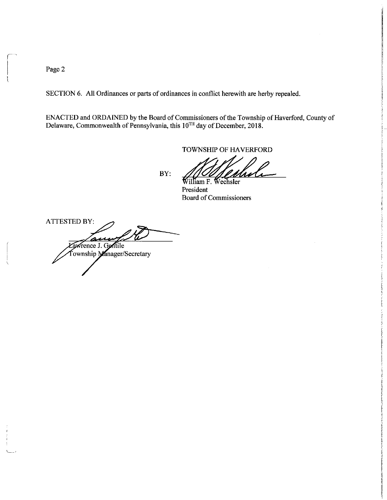Page 2

I

 $\left($ 

 $\sqrt{ }$ 

SECTION 6. All Ordinances or parts of ordinances in conflict herewith are herby repealed.

ENACTED and ORDAINED by the Board of Commissioners of the Township of Haverford, County of Delaware, Commonwealth of Pennsylvania, this  $10^{TH}$  day of December, 2018.

BY:

TOWNSHIP OF HAVERFORD<br>Milliam F. Wechsler<br>President

President Board of Commissioners

ATTESTED BY: am wrence J. Gentile Township Manager/Secretary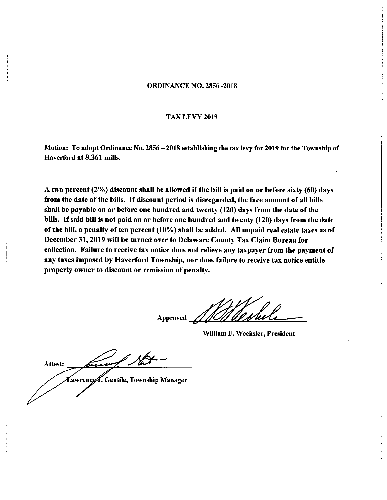#### ORDINANCE NO. 2856 -2018

#### TAX LEVY 2019

Motion: To adopt Ordinance No. 2856 - 2018 establishing the tax levy for 2019 for the Township of Haverford at 8.361 mills.

A two percent (2%) discount shall be allowed if the bill is paid on or before sixty (60) days from the date of the bills. If discount period is disregarded, the face amount of all bills shall be payable on or before one hundred and twenty (120) days from the date of the bills. If said bill is not paid on or before one hundred and twenty (120) days from the date of the bill, a penalty of ten percent (10%) shall be added. All unpaid real estate taxes as of December 31, 2019 will be turned over to Delaware County Tax Claim Bureau for collection. Failure to receive tax notice does not relieve any taxpayer from the payment of any taxes imposed by Haverford Township, nor does failure to receive tax notice entitle property owner to discount or remission of penalty.

Approved

William F. Wechsler, President

Attest: . Gentile, Township Manager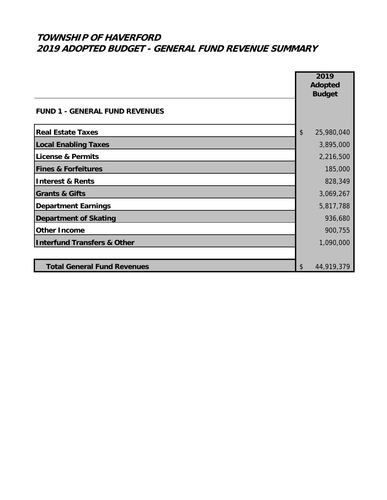|                                        | 2019<br><b>Adopted</b>                   |
|----------------------------------------|------------------------------------------|
|                                        | <b>Budget</b>                            |
| <b>FUND 1 - GENERAL FUND REVENUES</b>  |                                          |
| <b>Real Estate Taxes</b>               | $\boldsymbol{\hat{\zeta}}$<br>25,980,040 |
| <b>Local Enabling Taxes</b>            | 3,895,000                                |
| License & Permits                      | 2,216,500                                |
| <b>Fines &amp; Forfeitures</b>         | 185,000                                  |
| <b>Interest &amp; Rents</b>            | 828,349                                  |
| <b>Grants &amp; Gifts</b>              | 3,069,267                                |
| Department Earnings                    | 5,817,788                                |
| <b>Department of Skating</b>           | 936,680                                  |
| <b>Other Income</b>                    | 900,755                                  |
| <b>Interfund Transfers &amp; Other</b> | 1,090,000                                |
|                                        |                                          |
| <b>Total General Fund Revenues</b>     | \$<br>44,919,379                         |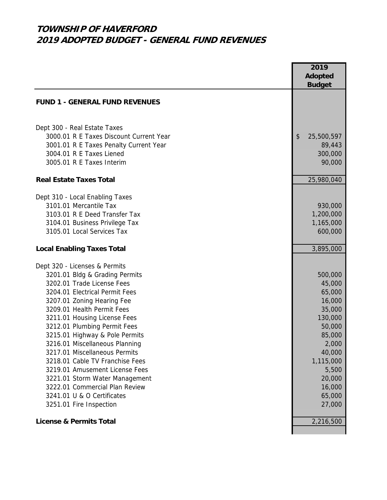|                                                                                                                                                                                                                                                                                                                                                                                                                                                                                                                                                                    | 2019<br><b>Adopted</b>                                                                                                                                          |
|--------------------------------------------------------------------------------------------------------------------------------------------------------------------------------------------------------------------------------------------------------------------------------------------------------------------------------------------------------------------------------------------------------------------------------------------------------------------------------------------------------------------------------------------------------------------|-----------------------------------------------------------------------------------------------------------------------------------------------------------------|
|                                                                                                                                                                                                                                                                                                                                                                                                                                                                                                                                                                    | <b>Budget</b>                                                                                                                                                   |
| <b>FUND 1 - GENERAL FUND REVENUES</b>                                                                                                                                                                                                                                                                                                                                                                                                                                                                                                                              |                                                                                                                                                                 |
| Dept 300 - Real Estate Taxes<br>3000.01 R E Taxes Discount Current Year<br>3001.01 R E Taxes Penalty Current Year<br>3004.01 R E Taxes Liened<br>3005.01 R E Taxes Interim                                                                                                                                                                                                                                                                                                                                                                                         | \$<br>25,500,597<br>89,443<br>300,000<br>90,000                                                                                                                 |
| <b>Real Estate Taxes Total</b>                                                                                                                                                                                                                                                                                                                                                                                                                                                                                                                                     | 25,980,040                                                                                                                                                      |
| Dept 310 - Local Enabling Taxes<br>3101.01 Mercantile Tax<br>3103.01 R E Deed Transfer Tax<br>3104.01 Business Privilege Tax<br>3105.01 Local Services Tax                                                                                                                                                                                                                                                                                                                                                                                                         | 930,000<br>1,200,000<br>1,165,000<br>600,000                                                                                                                    |
| <b>Local Enabling Taxes Total</b>                                                                                                                                                                                                                                                                                                                                                                                                                                                                                                                                  | 3,895,000                                                                                                                                                       |
| Dept 320 - Licenses & Permits<br>3201.01 Bldg & Grading Permits<br>3202.01 Trade License Fees<br>3204.01 Electrical Permit Fees<br>3207.01 Zoning Hearing Fee<br>3209.01 Health Permit Fees<br>3211.01 Housing License Fees<br>3212.01 Plumbing Permit Fees<br>3215.01 Highway & Pole Permits<br>3216.01 Miscellaneous Planning<br>3217.01 Miscellaneous Permits<br>3218.01 Cable TV Franchise Fees<br>3219.01 Amusement License Fees<br>3221.01 Storm Water Management<br>3222.01 Commercial Plan Review<br>3241.01 U & O Certificates<br>3251.01 Fire Inspection | 500,000<br>45,000<br>65,000<br>16,000<br>35,000<br>130,000<br>50,000<br>85,000<br>2,000<br>40,000<br>1,115,000<br>5,500<br>20,000<br>16,000<br>65,000<br>27,000 |
| <b>License &amp; Permits Total</b>                                                                                                                                                                                                                                                                                                                                                                                                                                                                                                                                 | 2,216,500                                                                                                                                                       |
|                                                                                                                                                                                                                                                                                                                                                                                                                                                                                                                                                                    |                                                                                                                                                                 |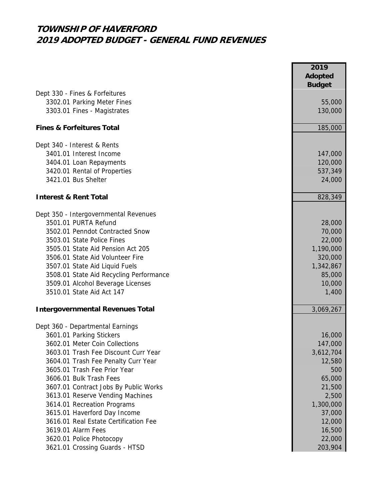|                                         | 2019<br><b>Adopted</b><br><b>Budget</b> |
|-----------------------------------------|-----------------------------------------|
| Dept 330 - Fines & Forfeitures          |                                         |
| 3302.01 Parking Meter Fines             | 55,000                                  |
| 3303.01 Fines - Magistrates             | 130,000                                 |
| <b>Fines &amp; Forfeitures Total</b>    | 185,000                                 |
| Dept 340 - Interest & Rents             |                                         |
| 3401.01 Interest Income                 | 147,000                                 |
| 3404.01 Loan Repayments                 | 120,000                                 |
| 3420.01 Rental of Properties            | 537,349                                 |
| 3421.01 Bus Shelter                     | 24,000                                  |
| <b>Interest &amp; Rent Total</b>        | 828,349                                 |
| Dept 350 - Intergovernmental Revenues   |                                         |
| 3501.01 PURTA Refund                    | 28,000                                  |
| 3502.01 Penndot Contracted Snow         | 70,000                                  |
| 3503.01 State Police Fines              | 22,000                                  |
| 3505.01 State Aid Pension Act 205       | 1,190,000                               |
| 3506.01 State Aid Volunteer Fire        | 320,000                                 |
| 3507.01 State Aid Liquid Fuels          | 1,342,867                               |
| 3508.01 State Aid Recycling Performance | 85,000                                  |
| 3509.01 Alcohol Beverage Licenses       | 10,000                                  |
| 3510.01 State Aid Act 147               | 1,400                                   |
| <b>Intergovernmental Revenues Total</b> | 3,069,267                               |
| Dept 360 - Departmental Earnings        |                                         |
| 3601.01 Parking Stickers                | 16,000                                  |
| 3602.01 Meter Coin Collections          | 147,000                                 |
| 3603.01 Trash Fee Discount Curr Year    | 3,612,704                               |
| 3604.01 Trash Fee Penalty Curr Year     | 12,580                                  |
| 3605.01 Trash Fee Prior Year            | 500                                     |
| 3606.01 Bulk Trash Fees                 | 65,000                                  |
| 3607.01 Contract Jobs By Public Works   | 21,500                                  |
| 3613.01 Reserve Vending Machines        | 2,500                                   |
| 3614.01 Recreation Programs             | 1,300,000                               |
| 3615.01 Haverford Day Income            | 37,000                                  |
| 3616.01 Real Estate Certification Fee   | 12,000                                  |
| 3619.01 Alarm Fees                      | 16,500                                  |
| 3620.01 Police Photocopy                | 22,000                                  |
| 3621.01 Crossing Guards - HTSD          | 203,904                                 |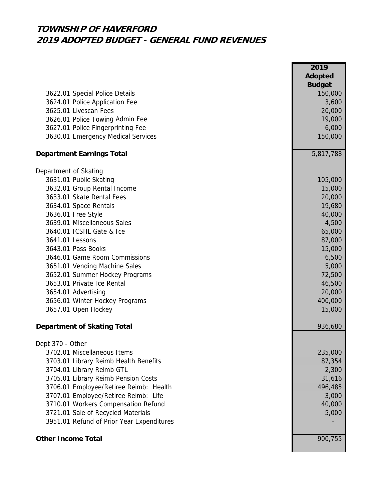|                                           | 2019           |
|-------------------------------------------|----------------|
|                                           | <b>Adopted</b> |
|                                           | <b>Budget</b>  |
| 3622.01 Special Police Details            | 150,000        |
| 3624.01 Police Application Fee            | 3,600          |
| 3625.01 Livescan Fees                     | 20,000         |
| 3626.01 Police Towing Admin Fee           | 19,000         |
| 3627.01 Police Fingerprinting Fee         | 6,000          |
| 3630.01 Emergency Medical Services        | 150,000        |
| <b>Department Earnings Total</b>          | 5,817,788      |
| Department of Skating                     |                |
| 3631.01 Public Skating                    | 105,000        |
| 3632.01 Group Rental Income               | 15,000         |
| 3633.01 Skate Rental Fees                 | 20,000         |
| 3634.01 Space Rentals                     | 19,680         |
| 3636.01 Free Style                        | 40,000         |
| 3639.01 Miscellaneous Sales               | 4,500          |
| 3640.01 ICSHL Gate & Ice                  | 65,000         |
| 3641.01 Lessons                           | 87,000         |
| 3643.01 Pass Books                        | 15,000         |
| 3646.01 Game Room Commissions             | 6,500          |
| 3651.01 Vending Machine Sales             | 5,000          |
| 3652.01 Summer Hockey Programs            | 72,500         |
| 3653.01 Private Ice Rental                | 46,500         |
| 3654.01 Advertising                       | 20,000         |
| 3656.01 Winter Hockey Programs            | 400,000        |
| 3657.01 Open Hockey                       | 15,000         |
| <b>Department of Skating Total</b>        | 936,680        |
| Dept 370 - Other                          |                |
| 3702.01 Miscellaneous Items               | 235,000        |
| 3703.01 Library Reimb Health Benefits     | 87,354         |
| 3704.01 Library Reimb GTL                 | 2,300          |
| 3705.01 Library Reimb Pension Costs       | 31,616         |
| 3706.01 Employee/Retiree Reimb: Health    | 496,485        |
| 3707.01 Employee/Retiree Reimb: Life      | 3,000          |
| 3710.01 Workers Compensation Refund       | 40,000         |
| 3721.01 Sale of Recycled Materials        | 5,000          |
| 3951.01 Refund of Prior Year Expenditures |                |
|                                           |                |
| <b>Other Income Total</b>                 | 900,755        |
|                                           |                |

**2019**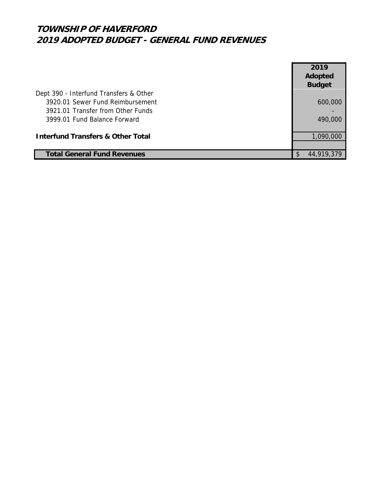|                                              | 2019          |
|----------------------------------------------|---------------|
|                                              | Adopted       |
|                                              | <b>Budget</b> |
| Dept 390 - Interfund Transfers & Other       |               |
| 3920.01 Sewer Fund Reimbursement             | 600,000       |
| 3921.01 Transfer from Other Funds            |               |
| 3999.01 Fund Balance Forward                 | 490,000       |
|                                              |               |
| <b>Interfund Transfers &amp; Other Total</b> | 1,090,000     |
|                                              |               |
| <b>Total General Fund Revenues</b>           | 44,919,379    |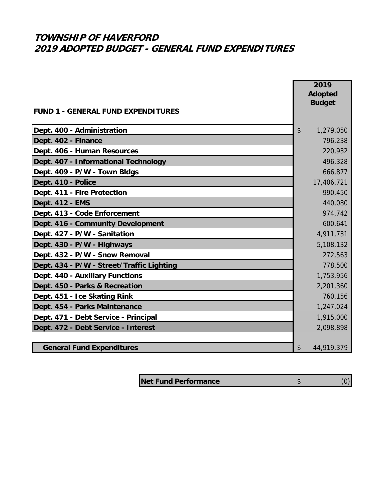|                                           | 2019<br><b>Adopted</b><br><b>Budget</b> |
|-------------------------------------------|-----------------------------------------|
| <b>FUND 1 - GENERAL FUND EXPENDITURES</b> |                                         |
| Dept. 400 - Administration                | \$<br>1,279,050                         |
| Dept. 402 - Finance                       | 796,238                                 |
| Dept. 406 - Human Resources               | 220,932                                 |
| Dept. 407 - Informational Technology      | 496,328                                 |
| Dept. 409 - P/W - Town Bldgs              | 666,877                                 |
| Dept. 410 - Police                        | 17,406,721                              |
| Dept. 411 - Fire Protection               | 990,450                                 |
| Dept. 412 - EMS                           | 440,080                                 |
| Dept. 413 - Code Enforcement              | 974,742                                 |
| Dept. 416 - Community Development         | 600,641                                 |
| Dept. 427 - P/W - Sanitation              | 4,911,731                               |
| Dept. 430 - P/W - Highways                | 5,108,132                               |
| Dept. 432 - P/W - Snow Removal            | 272,563                                 |
| Dept. 434 - P/W - Street/Traffic Lighting | 778,500                                 |
| Dept. 440 - Auxiliary Functions           | 1,753,956                               |
| Dept. 450 - Parks & Recreation            | 2,201,360                               |
| Dept. 451 - Ice Skating Rink              | 760,156                                 |
| Dept. 454 - Parks Maintenance             | 1,247,024                               |
| Dept. 471 - Debt Service - Principal      | 1,915,000                               |
| Dept. 472 - Debt Service - Interest       | 2,098,898                               |
|                                           |                                         |
| <b>General Fund Expenditures</b>          | \$<br>44,919,379                        |

**Net Fund Performance \$** (0)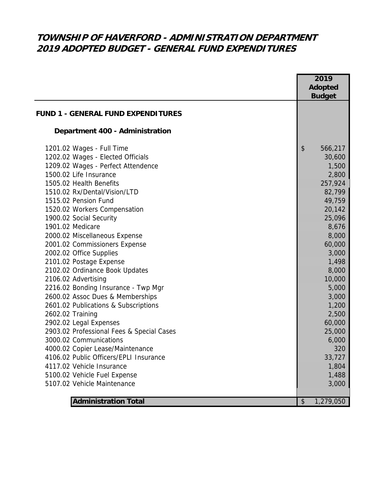# **TOWNSHIP OF HAVERFORD - ADMINISTRATION DEPARTMENT 2019 ADOPTED BUDGET - GENERAL FUND EXPENDITURES**

|                                           | 2019                                 |
|-------------------------------------------|--------------------------------------|
|                                           | <b>Adopted</b>                       |
|                                           | <b>Budget</b>                        |
| <b>FUND 1 - GENERAL FUND EXPENDITURES</b> |                                      |
|                                           |                                      |
| Department 400 - Administration           |                                      |
| 1201.02 Wages - Full Time                 | $\boldsymbol{\mathsf{S}}$<br>566,217 |
| 1202.02 Wages - Elected Officials         | 30,600                               |
| 1209.02 Wages - Perfect Attendence        | 1,500                                |
| 1500.02 Life Insurance                    | 2,800                                |
| 1505.02 Health Benefits                   | 257,924                              |
| 1510.02 Rx/Dental/Vision/LTD              | 82,799                               |
| 1515.02 Pension Fund                      | 49,759                               |
| 1520.02 Workers Compensation              | 20,142                               |
| 1900.02 Social Security                   | 25,096                               |
| 1901.02 Medicare                          | 8,676                                |
| 2000.02 Miscellaneous Expense             | 8,000                                |
| 2001.02 Commissioners Expense             | 60,000                               |
| 2002.02 Office Supplies                   | 3,000                                |
| 2101.02 Postage Expense                   | 1,498                                |
| 2102.02 Ordinance Book Updates            | 8,000                                |
| 2106.02 Advertising                       | 10,000                               |
| 2216.02 Bonding Insurance - Twp Mgr       | 5,000                                |
| 2600.02 Assoc Dues & Memberships          | 3,000                                |
| 2601.02 Publications & Subscriptions      | 1,200                                |
| 2602.02 Training                          | 2,500                                |
| 2902.02 Legal Expenses                    | 60,000                               |
| 2903.02 Professional Fees & Special Cases | 25,000                               |
| 3000.02 Communications                    | 6,000                                |
| 4000.02 Copier Lease/Maintenance          | 320                                  |
| 4106.02 Public Officers/EPLI Insurance    | 33,727                               |
| 4117.02 Vehicle Insurance                 | 1,804                                |
| 5100.02 Vehicle Fuel Expense              | 1,488                                |
| 5107.02 Vehicle Maintenance               | 3,000                                |
|                                           |                                      |
| <b>Administration Total</b>               | \$<br>1,279,050                      |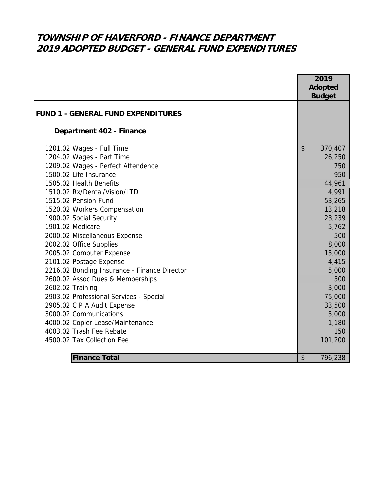# **TOWNSHIP OF HAVERFORD - FINANCE DEPARTMENT 2019 ADOPTED BUDGET - GENERAL FUND EXPENDITURES**

|                                              | 2019<br>Adopted                      |
|----------------------------------------------|--------------------------------------|
|                                              | <b>Budget</b>                        |
| <b>FUND 1 - GENERAL FUND EXPENDITURES</b>    |                                      |
| Department 402 - Finance                     |                                      |
| 1201.02 Wages - Full Time                    | $\boldsymbol{\mathsf{S}}$<br>370,407 |
| 1204.02 Wages - Part Time                    | 26,250                               |
| 1209.02 Wages - Perfect Attendence           | 750                                  |
| 1500.02 Life Insurance                       | 950                                  |
| 1505.02 Health Benefits                      | 44,961                               |
| 1510.02 Rx/Dental/Vision/LTD                 | 4,991                                |
| 1515.02 Pension Fund                         | 53,265                               |
| 1520.02 Workers Compensation                 | 13,218                               |
| 1900.02 Social Security                      | 23,239                               |
| 1901.02 Medicare                             | 5,762                                |
| 2000.02 Miscellaneous Expense                | 500                                  |
| 2002.02 Office Supplies                      | 8,000                                |
| 2005.02 Computer Expense                     | 15,000                               |
| 2101.02 Postage Expense                      | 4,415                                |
| 2216.02 Bonding Insurance - Finance Director | 5,000                                |
| 2600.02 Assoc Dues & Memberships             | 500                                  |
| 2602.02 Training                             | 3,000                                |
| 2903.02 Professional Services - Special      | 75,000                               |
| 2905.02 C P A Audit Expense                  | 33,500                               |
| 3000.02 Communications                       | 5,000                                |
| 4000.02 Copier Lease/Maintenance             | 1,180                                |
| 4003.02 Trash Fee Rebate                     | 150                                  |
| 4500.02 Tax Collection Fee                   | 101,200                              |
| <b>Finance Total</b>                         | \$<br>796,238                        |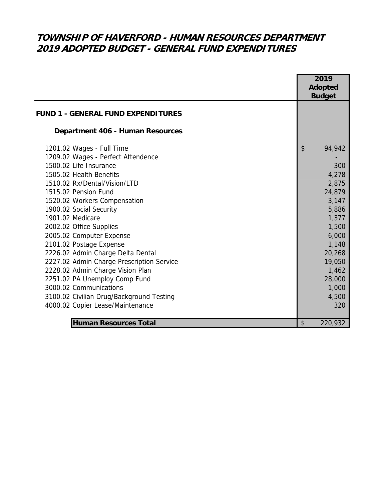# **TOWNSHIP OF HAVERFORD - HUMAN RESOURCES DEPARTMENT 2019 ADOPTED BUDGET - GENERAL FUND EXPENDITURES**

|                                           |                           | 2019           |
|-------------------------------------------|---------------------------|----------------|
|                                           |                           | <b>Adopted</b> |
|                                           |                           | <b>Budget</b>  |
| <b>FUND 1 - GENERAL FUND EXPENDITURES</b> |                           |                |
| Department 406 - Human Resources          |                           |                |
| 1201.02 Wages - Full Time                 | \$                        | 94,942         |
| 1209.02 Wages - Perfect Attendence        |                           |                |
| 1500.02 Life Insurance                    |                           | 300            |
| 1505.02 Health Benefits                   |                           | 4,278          |
| 1510.02 Rx/Dental/Vision/LTD              |                           | 2,875          |
| 1515.02 Pension Fund                      |                           | 24,879         |
| 1520.02 Workers Compensation              |                           | 3,147          |
| 1900.02 Social Security                   |                           | 5,886          |
| 1901.02 Medicare                          |                           | 1,377          |
| 2002.02 Office Supplies                   |                           | 1,500          |
| 2005.02 Computer Expense                  |                           | 6,000          |
| 2101.02 Postage Expense                   |                           | 1,148          |
| 2226.02 Admin Charge Delta Dental         |                           | 20,268         |
| 2227.02 Admin Charge Prescription Service |                           | 19,050         |
| 2228.02 Admin Charge Vision Plan          |                           | 1,462          |
| 2251.02 PA Unemploy Comp Fund             |                           | 28,000         |
| 3000.02 Communications                    |                           | 1,000          |
| 3100.02 Civilian Drug/Background Testing  |                           | 4,500          |
| 4000.02 Copier Lease/Maintenance          |                           | 320            |
| <b>Human Resources Total</b>              | $\boldsymbol{\mathsf{S}}$ | 220,932        |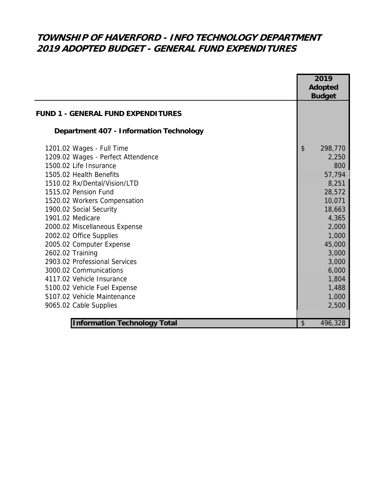# **TOWNSHIP OF HAVERFORD - INFO TECHNOLOGY DEPARTMENT 2019 ADOPTED BUDGET - GENERAL FUND EXPENDITURES**

|                                                | 2019           |
|------------------------------------------------|----------------|
|                                                | <b>Adopted</b> |
|                                                | <b>Budget</b>  |
| <b>FUND 1 - GENERAL FUND EXPENDITURES</b>      |                |
| <b>Department 407 - Information Technology</b> |                |
| 1201.02 Wages - Full Time                      | \$<br>298,770  |
| 1209.02 Wages - Perfect Attendence             | 2,250          |
| 1500.02 Life Insurance                         | 800            |
| 1505.02 Health Benefits                        | 57,794         |
| 1510.02 Rx/Dental/Vision/LTD                   | 8,251          |
| 1515.02 Pension Fund                           | 28,572         |
| 1520.02 Workers Compensation                   | 10,071         |
| 1900.02 Social Security                        | 18,663         |
| 1901.02 Medicare                               | 4,365          |
| 2000.02 Miscellaneous Expense                  | 2,000          |
| 2002.02 Office Supplies                        | 1,000          |
| 2005.02 Computer Expense                       | 45,000         |
| 2602.02 Training                               | 3,000          |
| 2903.02 Professional Services                  | 3,000          |
| 3000.02 Communications                         | 6,000          |
| 4117.02 Vehicle Insurance                      | 1,804          |
| 5100.02 Vehicle Fuel Expense                   | 1,488          |
| 5107.02 Vehicle Maintenance                    | 1,000          |
| 9065.02 Cable Supplies                         | 2,500          |
|                                                |                |
| <b>Information Technology Total</b>            | \$<br>496,328  |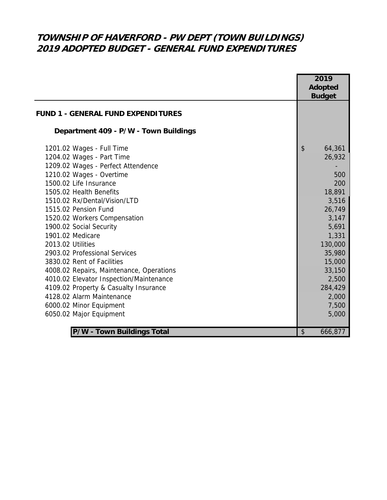# **TOWNSHIP OF HAVERFORD - PW DEPT (TOWN BUILDINGS) 2019 ADOPTED BUDGET - GENERAL FUND EXPENDITURES**

|                                           | 2019           |
|-------------------------------------------|----------------|
|                                           | <b>Adopted</b> |
|                                           | <b>Budget</b>  |
| <b>FUND 1 - GENERAL FUND EXPENDITURES</b> |                |
| Department 409 - P/W - Town Buildings     |                |
| 1201.02 Wages - Full Time                 | \$<br>64,361   |
| 1204.02 Wages - Part Time                 | 26,932         |
| 1209.02 Wages - Perfect Attendence        |                |
| 1210.02 Wages - Overtime                  | 500            |
| 1500.02 Life Insurance                    | 200            |
| 1505.02 Health Benefits                   | 18,891         |
| 1510.02 Rx/Dental/Vision/LTD              | 3,516          |
| 1515.02 Pension Fund                      | 26,749         |
| 1520.02 Workers Compensation              | 3,147          |
| 1900.02 Social Security                   | 5,691          |
| 1901.02 Medicare                          | 1,331          |
| 2013.02 Utilities                         | 130,000        |
| 2903.02 Professional Services             | 35,980         |
| 3830.02 Rent of Facilities                | 15,000         |
| 4008.02 Repairs, Maintenance, Operations  | 33,150         |
| 4010.02 Elevator Inspection/Maintenance   | 2,500          |
| 4109.02 Property & Casualty Insurance     | 284,429        |
| 4128.02 Alarm Maintenance                 | 2,000          |
| 6000.02 Minor Equipment                   | 7,500          |
| 6050.02 Major Equipment                   | 5,000          |
|                                           |                |
| P/W - Town Buildings Total                | \$<br>666,877  |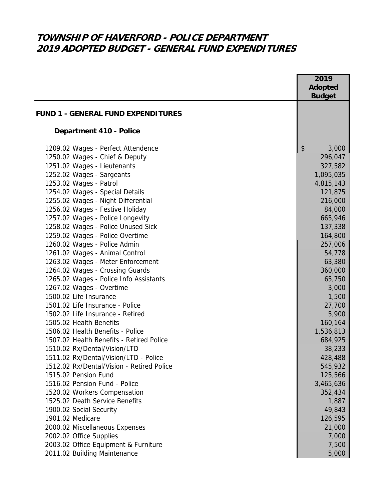# **TOWNSHIP OF HAVERFORD - POLICE DEPARTMENT 2019 ADOPTED BUDGET - GENERAL FUND EXPENDITURES**

|                                                                    | 2019<br><b>Adopted</b> |
|--------------------------------------------------------------------|------------------------|
|                                                                    | <b>Budget</b>          |
| <b>FUND 1 - GENERAL FUND EXPENDITURES</b>                          |                        |
| Department 410 - Police                                            |                        |
| 1209.02 Wages - Perfect Attendence                                 | \$<br>3,000            |
| 1250.02 Wages - Chief & Deputy                                     | 296,047                |
| 1251.02 Wages - Lieutenants                                        | 327,582                |
| 1252.02 Wages - Sargeants                                          | 1,095,035              |
| 1253.02 Wages - Patrol                                             | 4,815,143              |
| 1254.02 Wages - Special Details                                    | 121,875                |
| 1255.02 Wages - Night Differential                                 | 216,000                |
| 1256.02 Wages - Festive Holiday                                    | 84,000                 |
| 1257.02 Wages - Police Longevity                                   | 665,946                |
| 1258.02 Wages - Police Unused Sick                                 | 137,338                |
| 1259.02 Wages - Police Overtime                                    | 164,800                |
| 1260.02 Wages - Police Admin                                       | 257,006                |
| 1261.02 Wages - Animal Control                                     | 54,778                 |
| 1263.02 Wages - Meter Enforcement                                  | 63,380                 |
| 1264.02 Wages - Crossing Guards                                    | 360,000                |
| 1265.02 Wages - Police Info Assistants<br>1267.02 Wages - Overtime | 65,750<br>3,000        |
| 1500.02 Life Insurance                                             | 1,500                  |
| 1501.02 Life Insurance - Police                                    | 27,700                 |
| 1502.02 Life Insurance - Retired                                   | 5,900                  |
| 1505.02 Health Benefits                                            | 160,164                |
| 1506.02 Health Benefits - Police                                   | 1,536,813              |
| 1507.02 Health Benefits - Retired Police                           | 684,925                |
| 1510.02 Rx/Dental/Vision/LTD                                       | 38,233                 |
| 1511.02 Rx/Dental/Vision/LTD - Police                              | 428,488                |
| 1512.02 Rx/Dental/Vision - Retired Police                          | 545,932                |
| 1515.02 Pension Fund                                               | 125,566                |
| 1516.02 Pension Fund - Police                                      | 3,465,636              |
| 1520.02 Workers Compensation                                       | 352,434                |
| 1525.02 Death Service Benefits                                     | 1,887                  |
| 1900.02 Social Security                                            | 49,843                 |
| 1901.02 Medicare                                                   | 126,595                |
| 2000.02 Miscellaneous Expenses                                     | 21,000                 |
| 2002.02 Office Supplies                                            | 7,000                  |
| 2003.02 Office Equipment & Furniture                               | 7,500                  |
| 2011.02 Building Maintenance                                       | 5,000                  |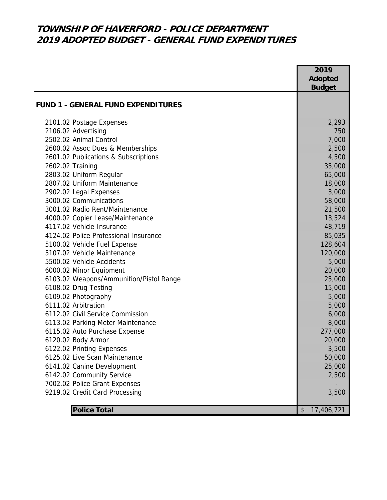## **TOWNSHIP OF HAVERFORD - POLICE DEPARTMENT 2019 ADOPTED BUDGET - GENERAL FUND EXPENDITURES**

|                                           | 2019             |
|-------------------------------------------|------------------|
|                                           | <b>Adopted</b>   |
|                                           | <b>Budget</b>    |
| <b>FUND 1 - GENERAL FUND EXPENDITURES</b> |                  |
|                                           |                  |
| 2101.02 Postage Expenses                  | 2,293            |
| 2106.02 Advertising                       | 750              |
| 2502.02 Animal Control                    | 7,000            |
| 2600.02 Assoc Dues & Memberships          | 2,500            |
| 2601.02 Publications & Subscriptions      | 4,500            |
| 2602.02 Training                          | 35,000           |
| 2803.02 Uniform Regular                   | 65,000           |
| 2807.02 Uniform Maintenance               | 18,000           |
| 2902.02 Legal Expenses                    | 3,000            |
| 3000.02 Communications                    | 58,000           |
| 3001.02 Radio Rent/Maintenance            | 21,500           |
| 4000.02 Copier Lease/Maintenance          | 13,524           |
| 4117.02 Vehicle Insurance                 | 48,719           |
| 4124.02 Police Professional Insurance     | 85,035           |
| 5100.02 Vehicle Fuel Expense              | 128,604          |
| 5107.02 Vehicle Maintenance               | 120,000          |
| 5500.02 Vehicle Accidents                 | 5,000            |
| 6000.02 Minor Equipment                   | 20,000           |
| 6103.02 Weapons/Ammunition/Pistol Range   | 25,000           |
| 6108.02 Drug Testing                      | 15,000           |
| 6109.02 Photography                       | 5,000            |
| 6111.02 Arbitration                       | 5,000            |
| 6112.02 Civil Service Commission          | 6,000            |
| 6113.02 Parking Meter Maintenance         | 8,000            |
| 6115.02 Auto Purchase Expense             | 277,000          |
| 6120.02 Body Armor                        | 20,000           |
| 6122.02 Printing Expenses                 | 3,500            |
| 6125.02 Live Scan Maintenance             | 50,000           |
| 6141.02 Canine Development                | 25,000           |
| 6142.02 Community Service                 | 2,500            |
| 7002.02 Police Grant Expenses             |                  |
| 9219.02 Credit Card Processing            | 3,500            |
|                                           |                  |
| <b>Police Total</b>                       | 17,406,721<br>\$ |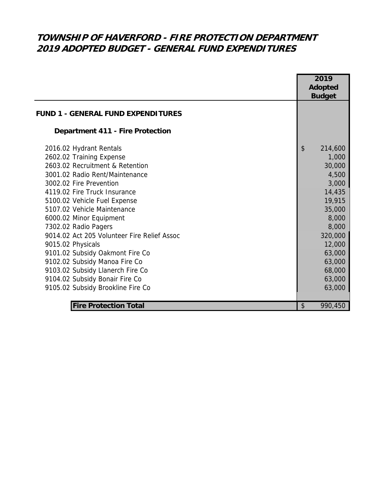# **TOWNSHIP OF HAVERFORD - FIRE PROTECTION DEPARTMENT 2019 ADOPTED BUDGET - GENERAL FUND EXPENDITURES**

|                                                                                                                                                                                                                                                                                                                                                                                                                                                                                                                                                          |                           | 2019<br><b>Adopted</b><br><b>Budget</b>                                                                                                                             |
|----------------------------------------------------------------------------------------------------------------------------------------------------------------------------------------------------------------------------------------------------------------------------------------------------------------------------------------------------------------------------------------------------------------------------------------------------------------------------------------------------------------------------------------------------------|---------------------------|---------------------------------------------------------------------------------------------------------------------------------------------------------------------|
| <b>FUND 1 - GENERAL FUND EXPENDITURES</b>                                                                                                                                                                                                                                                                                                                                                                                                                                                                                                                |                           |                                                                                                                                                                     |
| <b>Department 411 - Fire Protection</b>                                                                                                                                                                                                                                                                                                                                                                                                                                                                                                                  |                           |                                                                                                                                                                     |
| 2016.02 Hydrant Rentals<br>2602.02 Training Expense<br>2603.02 Recruitment & Retention<br>3001.02 Radio Rent/Maintenance<br>3002.02 Fire Prevention<br>4119.02 Fire Truck Insurance<br>5100.02 Vehicle Fuel Expense<br>5107.02 Vehicle Maintenance<br>6000.02 Minor Equipment<br>7302.02 Radio Pagers<br>9014.02 Act 205 Volunteer Fire Relief Assoc<br>9015.02 Physicals<br>9101.02 Subsidy Oakmont Fire Co<br>9102.02 Subsidy Manoa Fire Co<br>9103.02 Subsidy Llanerch Fire Co<br>9104.02 Subsidy Bonair Fire Co<br>9105.02 Subsidy Brookline Fire Co | $\boldsymbol{\mathsf{S}}$ | 214,600<br>1,000<br>30,000<br>4,500<br>3,000<br>14,435<br>19,915<br>35,000<br>8,000<br>8,000<br>320,000<br>12,000<br>63,000<br>63,000<br>68,000<br>63,000<br>63,000 |
| <b>Fire Protection Total</b>                                                                                                                                                                                                                                                                                                                                                                                                                                                                                                                             | \$                        | 990,450                                                                                                                                                             |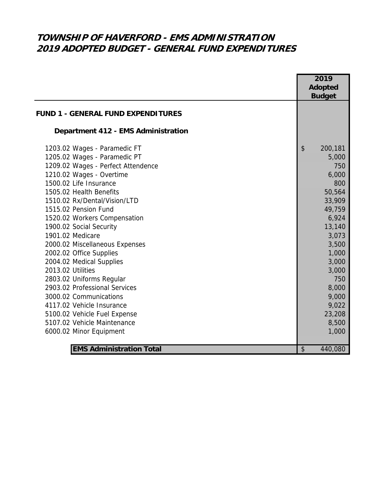# **TOWNSHIP OF HAVERFORD - EMS ADMINISTRATION 2019 ADOPTED BUDGET - GENERAL FUND EXPENDITURES**

|                                           |                           | 2019          |
|-------------------------------------------|---------------------------|---------------|
|                                           | <b>Adopted</b>            |               |
|                                           |                           | <b>Budget</b> |
| <b>FUND 1 - GENERAL FUND EXPENDITURES</b> |                           |               |
| Department 412 - EMS Administration       |                           |               |
| 1203.02 Wages - Paramedic FT              | \$                        | 200,181       |
| 1205.02 Wages - Paramedic PT              |                           | 5,000         |
| 1209.02 Wages - Perfect Attendence        |                           | 750           |
| 1210.02 Wages - Overtime                  |                           | 6,000         |
| 1500.02 Life Insurance                    |                           | 800           |
| 1505.02 Health Benefits                   |                           | 50,564        |
| 1510.02 Rx/Dental/Vision/LTD              |                           | 33,909        |
| 1515.02 Pension Fund                      |                           | 49,759        |
| 1520.02 Workers Compensation              |                           | 6,924         |
| 1900.02 Social Security                   |                           | 13,140        |
| 1901.02 Medicare                          |                           | 3,073         |
| 2000.02 Miscellaneous Expenses            |                           | 3,500         |
| 2002.02 Office Supplies                   |                           | 1,000         |
| 2004.02 Medical Supplies                  |                           | 3,000         |
| 2013.02 Utilities                         |                           | 3,000         |
| 2803.02 Uniforms Regular                  |                           | 750           |
| 2903.02 Professional Services             |                           | 8,000         |
| 3000.02 Communications                    |                           | 9,000         |
| 4117.02 Vehicle Insurance                 |                           | 9,022         |
| 5100.02 Vehicle Fuel Expense              |                           | 23,208        |
| 5107.02 Vehicle Maintenance               |                           | 8,500         |
| 6000.02 Minor Equipment                   |                           | 1,000         |
|                                           |                           |               |
| <b>EMS Administration Total</b>           | $\boldsymbol{\mathsf{S}}$ | 440,080       |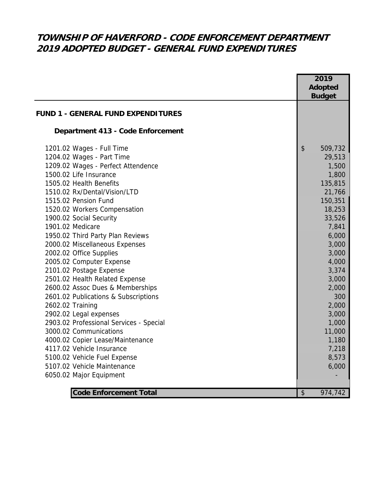# **TOWNSHIP OF HAVERFORD - CODE ENFORCEMENT DEPARTMENT 2019 ADOPTED BUDGET - GENERAL FUND EXPENDITURES**

|                                           | 2019                                 |
|-------------------------------------------|--------------------------------------|
|                                           | <b>Adopted</b>                       |
|                                           | <b>Budget</b>                        |
|                                           |                                      |
| <b>FUND 1 - GENERAL FUND EXPENDITURES</b> |                                      |
| Department 413 - Code Enforcement         |                                      |
| 1201.02 Wages - Full Time                 | $\boldsymbol{\mathsf{S}}$<br>509,732 |
| 1204.02 Wages - Part Time                 | 29,513                               |
| 1209.02 Wages - Perfect Attendence        | 1,500                                |
| 1500.02 Life Insurance                    | 1,800                                |
| 1505.02 Health Benefits                   | 135,815                              |
| 1510.02 Rx/Dental/Vision/LTD              | 21,766                               |
| 1515.02 Pension Fund                      | 150,351                              |
| 1520.02 Workers Compensation              | 18,253                               |
| 1900.02 Social Security                   | 33,526                               |
| 1901.02 Medicare                          | 7,841                                |
| 1950.02 Third Party Plan Reviews          | 6,000                                |
| 2000.02 Miscellaneous Expenses            | 3,000                                |
| 2002.02 Office Supplies                   | 3,000                                |
| 2005.02 Computer Expense                  | 4,000                                |
| 2101.02 Postage Expense                   | 3,374                                |
| 2501.02 Health Related Expense            | 3,000                                |
| 2600.02 Assoc Dues & Memberships          | 2,000                                |
| 2601.02 Publications & Subscriptions      | 300                                  |
| 2602.02 Training                          | 2,000                                |
| 2902.02 Legal expenses                    | 3,000                                |
| 2903.02 Professional Services - Special   | 1,000                                |
| 3000.02 Communications                    | 11,000                               |
| 4000.02 Copier Lease/Maintenance          | 1,180                                |
| 4117.02 Vehicle Insurance                 | 7,218                                |
| 5100.02 Vehicle Fuel Expense              | 8,573                                |
| 5107.02 Vehicle Maintenance               | 6,000                                |
| 6050.02 Major Equipment                   |                                      |
|                                           |                                      |
| <b>Code Enforcement Total</b>             | $\sqrt[6]{\frac{1}{2}}$<br>974,742   |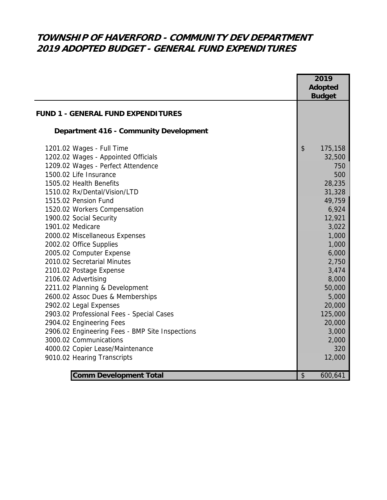# **TOWNSHIP OF HAVERFORD - COMMUNITY DEV DEPARTMENT 2019 ADOPTED BUDGET - GENERAL FUND EXPENDITURES**

|                                                    | 2019<br>Adopted<br><b>Budget</b> |
|----------------------------------------------------|----------------------------------|
| <b>FUND 1 - GENERAL FUND EXPENDITURES</b>          |                                  |
| <b>Department 416 - Community Development</b>      |                                  |
| 1201.02 Wages - Full Time                          | \$<br>175,158                    |
| 1202.02 Wages - Appointed Officials                | 32,500                           |
| 1209.02 Wages - Perfect Attendence                 | 750                              |
| 1500.02 Life Insurance                             | 500                              |
| 1505.02 Health Benefits                            | 28,235                           |
| 1510.02 Rx/Dental/Vision/LTD                       | 31,328                           |
| 1515.02 Pension Fund                               | 49,759                           |
| 1520.02 Workers Compensation                       | 6,924                            |
| 1900.02 Social Security                            | 12,921                           |
| 1901.02 Medicare<br>2000.02 Miscellaneous Expenses | 3,022<br>1,000                   |
| 2002.02 Office Supplies                            | 1,000                            |
| 2005.02 Computer Expense                           | 6,000                            |
| 2010.02 Secretarial Minutes                        | 2,750                            |
| 2101.02 Postage Expense                            | 3,474                            |
| 2106.02 Advertising                                | 8,000                            |
| 2211.02 Planning & Development                     | 50,000                           |
| 2600.02 Assoc Dues & Memberships                   | 5,000                            |
| 2902.02 Legal Expenses                             | 20,000                           |
| 2903.02 Professional Fees - Special Cases          | 125,000                          |
| 2904.02 Engineering Fees                           | 20,000                           |
| 2906.02 Engineering Fees - BMP Site Inspections    | 3,000                            |
| 3000.02 Communications                             | 2,000                            |
| 4000.02 Copier Lease/Maintenance                   | 320                              |
| 9010.02 Hearing Transcripts                        | 12,000                           |
|                                                    |                                  |
| <b>Comm Development Total</b>                      | \$<br>600,641                    |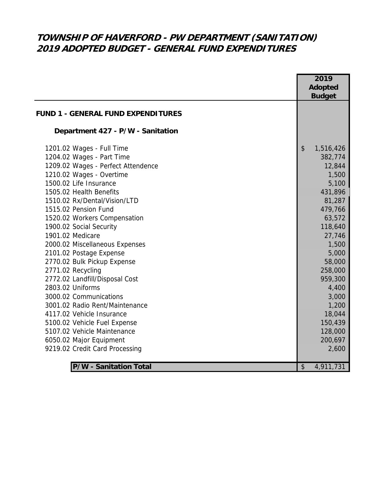# **TOWNSHIP OF HAVERFORD - PW DEPARTMENT (SANITATION) 2019 ADOPTED BUDGET - GENERAL FUND EXPENDITURES**

|                                           | 2019                                   |
|-------------------------------------------|----------------------------------------|
|                                           | <b>Adopted</b>                         |
|                                           | <b>Budget</b>                          |
| <b>FUND 1 - GENERAL FUND EXPENDITURES</b> |                                        |
|                                           |                                        |
| Department 427 - P/W - Sanitation         |                                        |
| 1201.02 Wages - Full Time                 | $\boldsymbol{\mathsf{S}}$<br>1,516,426 |
| 1204.02 Wages - Part Time                 | 382,774                                |
| 1209.02 Wages - Perfect Attendence        | 12,844                                 |
| 1210.02 Wages - Overtime                  | 1,500                                  |
| 1500.02 Life Insurance                    | 5,100                                  |
| 1505.02 Health Benefits                   | 431,896                                |
| 1510.02 Rx/Dental/Vision/LTD              | 81,287                                 |
| 1515.02 Pension Fund                      | 479,766                                |
| 1520.02 Workers Compensation              | 63,572                                 |
| 1900.02 Social Security                   | 118,640                                |
| 1901.02 Medicare                          | 27,746                                 |
| 2000.02 Miscellaneous Expenses            | 1,500                                  |
| 2101.02 Postage Expense                   | 5,000                                  |
| 2770.02 Bulk Pickup Expense               | 58,000                                 |
| 2771.02 Recycling                         | 258,000                                |
| 2772.02 Landfill/Disposal Cost            | 959,300                                |
| 2803.02 Uniforms                          | 4,400                                  |
| 3000.02 Communications                    | 3,000                                  |
| 3001.02 Radio Rent/Maintenance            | 1,200                                  |
| 4117.02 Vehicle Insurance                 | 18,044                                 |
| 5100.02 Vehicle Fuel Expense              | 150,439                                |
| 5107.02 Vehicle Maintenance               | 128,000                                |
| 6050.02 Major Equipment                   | 200,697                                |
| 9219.02 Credit Card Processing            | 2,600                                  |
|                                           |                                        |
| <b>P/W - Sanitation Total</b>             | $\sqrt{2}$<br>4,911,731                |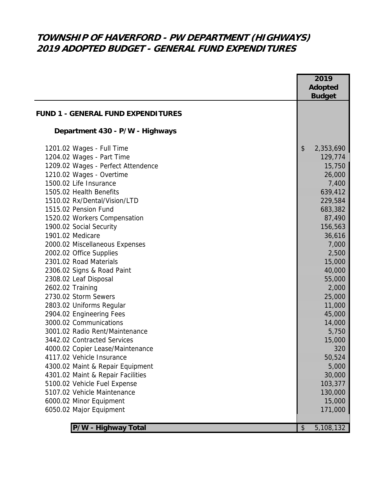# **TOWNSHIP OF HAVERFORD - PW DEPARTMENT (HIGHWAYS) 2019 ADOPTED BUDGET - GENERAL FUND EXPENDITURES**

|                                           |                       | 2019<br>Adopted |
|-------------------------------------------|-----------------------|-----------------|
|                                           |                       | <b>Budget</b>   |
| <b>FUND 1 - GENERAL FUND EXPENDITURES</b> |                       |                 |
| Department 430 - P/W - Highways           |                       |                 |
| 1201.02 Wages - Full Time                 | $\frac{1}{2}$         | 2,353,690       |
| 1204.02 Wages - Part Time                 |                       | 129,774         |
| 1209.02 Wages - Perfect Attendence        |                       | 15,750          |
| 1210.02 Wages - Overtime                  |                       | 26,000          |
| 1500.02 Life Insurance                    |                       | 7,400           |
| 1505.02 Health Benefits                   |                       | 639,412         |
| 1510.02 Rx/Dental/Vision/LTD              |                       | 229,584         |
| 1515.02 Pension Fund                      |                       | 683,382         |
| 1520.02 Workers Compensation              |                       | 87,490          |
| 1900.02 Social Security                   |                       | 156,563         |
| 1901.02 Medicare                          |                       | 36,616          |
| 2000.02 Miscellaneous Expenses            |                       | 7,000           |
| 2002.02 Office Supplies                   |                       | 2,500           |
| 2301.02 Road Materials                    |                       | 15,000          |
| 2306.02 Signs & Road Paint                |                       | 40,000          |
| 2308.02 Leaf Disposal                     |                       | 55,000          |
| 2602.02 Training                          |                       | 2,000           |
| 2730.02 Storm Sewers                      |                       | 25,000          |
| 2803.02 Uniforms Regular                  |                       | 11,000          |
| 2904.02 Engineering Fees                  |                       | 45,000          |
| 3000.02 Communications                    |                       | 14,000          |
| 3001.02 Radio Rent/Maintenance            |                       | 5,750           |
| 3442.02 Contracted Services               |                       | 15,000          |
| 4000.02 Copier Lease/Maintenance          |                       | 320             |
| 4117.02 Vehicle Insurance                 |                       | 50,524          |
| 4300.02 Maint & Repair Equipment          |                       | 5,000           |
| 4301.02 Maint & Repair Facilities         |                       | 30,000          |
| 5100.02 Vehicle Fuel Expense              |                       | 103,377         |
| 5107.02 Vehicle Maintenance               |                       | 130,000         |
| 6000.02 Minor Equipment                   |                       | 15,000          |
| 6050.02 Major Equipment                   |                       | 171,000         |
| P/W - Highway Total                       | $\boldsymbol{\theta}$ | 5,108,132       |
|                                           |                       |                 |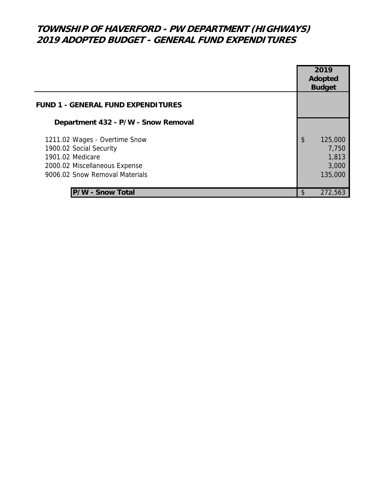# **TOWNSHIP OF HAVERFORD - PW DEPARTMENT (HIGHWAYS) 2019 ADOPTED BUDGET - GENERAL FUND EXPENDITURES**

|                                                                                                                                                 |               | 2019<br>Adopted<br><b>Budget</b>              |
|-------------------------------------------------------------------------------------------------------------------------------------------------|---------------|-----------------------------------------------|
| <b>FUND 1 - GENERAL FUND EXPENDITURES</b>                                                                                                       |               |                                               |
| Department 432 - P/W - Snow Removal                                                                                                             |               |                                               |
| 1211.02 Wages - Overtime Snow<br>1900.02 Social Security<br>1901.02 Medicare<br>2000.02 Miscellaneous Expense<br>9006.02 Snow Removal Materials | $\mathsf{\$}$ | 125,000<br>7,750<br>1,813<br>3,000<br>135,000 |
| P/W - Snow Total                                                                                                                                | \$            | 272,563                                       |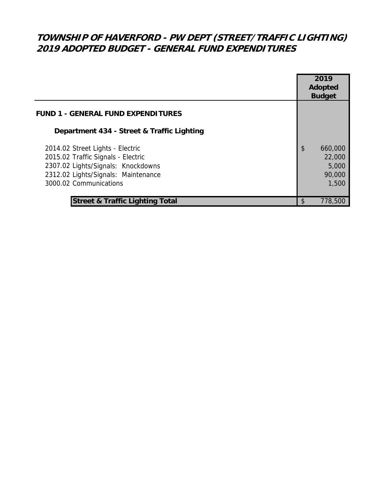# **TOWNSHIP OF HAVERFORD - PW DEPT (STREET/TRAFFIC LIGHTING) 2019 ADOPTED BUDGET - GENERAL FUND EXPENDITURES**

|                                                                                                                                                                               |                         | 2019<br><b>Adopted</b><br><b>Budget</b>       |
|-------------------------------------------------------------------------------------------------------------------------------------------------------------------------------|-------------------------|-----------------------------------------------|
| <b>FUND 1 - GENERAL FUND EXPENDITURES</b>                                                                                                                                     |                         |                                               |
| Department 434 - Street & Traffic Lighting                                                                                                                                    |                         |                                               |
| 2014.02 Street Lights - Electric<br>2015.02 Traffic Signals - Electric<br>2307.02 Lights/Signals: Knockdowns<br>2312.02 Lights/Signals: Maintenance<br>3000.02 Communications | $\sqrt[6]{\frac{1}{2}}$ | 660,000<br>22,000<br>5,000<br>90,000<br>1,500 |
| <b>Street &amp; Traffic Lighting Total</b>                                                                                                                                    | \$                      | 778,500                                       |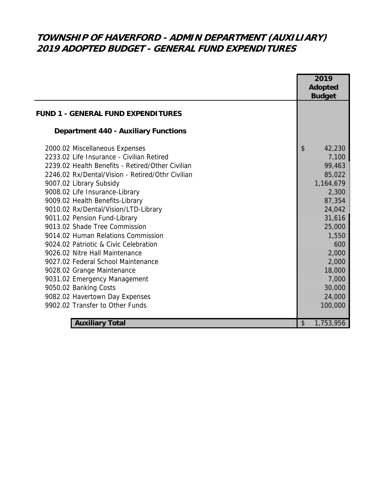# **TOWNSHIP OF HAVERFORD - ADMIN DEPARTMENT (AUXILIARY) 2019 ADOPTED BUDGET - GENERAL FUND EXPENDITURES**

|                                                  | 2019            |
|--------------------------------------------------|-----------------|
|                                                  | <b>Adopted</b>  |
|                                                  | <b>Budget</b>   |
| <b>FUND 1 - GENERAL FUND EXPENDITURES</b>        |                 |
| <b>Department 440 - Auxiliary Functions</b>      |                 |
| 2000.02 Miscellaneous Expenses                   | \$<br>42,230    |
| 2233.02 Life Insurance - Civilian Retired        | 7,100           |
| 2239.02 Health Benefits - Retired/Other Civilian | 99,463          |
| 2246.02 Rx/Dental/Vision - Retired/Othr Civilian | 85,022          |
| 9007.02 Library Subsidy                          | 1,164,679       |
| 9008.02 Life Insurance-Library                   | 2,300           |
| 9009.02 Health Benefits-Library                  | 87,354          |
| 9010.02 Rx/Dental/Vision/LTD-Library             | 24,042          |
| 9011.02 Pension Fund-Library                     | 31,616          |
| 9013.02 Shade Tree Commission                    | 25,000          |
| 9014.02 Human Relations Commission               | 1,550           |
| 9024.02 Patriotic & Civic Celebration            | 600             |
| 9026.02 Nitre Hall Maintenance                   | 2,000           |
| 9027.02 Federal School Maintenance               | 2,000           |
| 9028.02 Grange Maintenance                       | 18,000          |
| 9031.02 Emergency Management                     | 7,000           |
| 9050.02 Banking Costs                            | 30,000          |
| 9082.02 Havertown Day Expenses                   | 24,000          |
| 9902.02 Transfer to Other Funds                  | 100,000         |
|                                                  |                 |
| <b>Auxiliary Total</b>                           | \$<br>1,753,956 |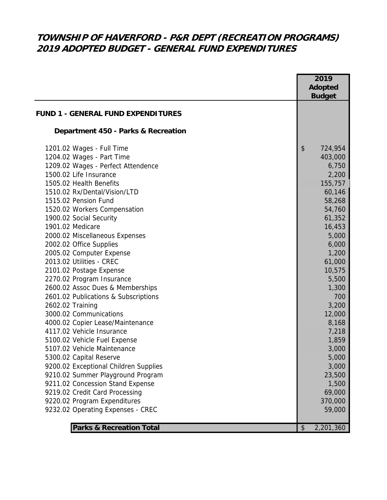# **TOWNSHIP OF HAVERFORD - P&R DEPT (RECREATION PROGRAMS) 2019 ADOPTED BUDGET - GENERAL FUND EXPENDITURES**

|                                                                    | 2019<br><b>Adopted</b><br><b>Budget</b> |
|--------------------------------------------------------------------|-----------------------------------------|
| <b>FUND 1 - GENERAL FUND EXPENDITURES</b>                          |                                         |
| Department 450 - Parks & Recreation                                |                                         |
| 1201.02 Wages - Full Time<br>1204.02 Wages - Part Time             | \$<br>724,954<br>403,000                |
| 1209.02 Wages - Perfect Attendence                                 | 6,750                                   |
| 1500.02 Life Insurance                                             | 2,200                                   |
| 1505.02 Health Benefits                                            | 155,757                                 |
| 1510.02 Rx/Dental/Vision/LTD                                       | 60,146                                  |
| 1515.02 Pension Fund                                               | 58,268                                  |
| 1520.02 Workers Compensation                                       | 54,760                                  |
| 1900.02 Social Security                                            | 61,352                                  |
| 1901.02 Medicare                                                   | 16,453                                  |
| 2000.02 Miscellaneous Expenses                                     | 5,000                                   |
| 2002.02 Office Supplies                                            | 6,000                                   |
| 2005.02 Computer Expense                                           | 1,200                                   |
| 2013.02 Utilities - CREC                                           | 61,000                                  |
| 2101.02 Postage Expense                                            | 10,575                                  |
| 2270.02 Program Insurance                                          | 5,500                                   |
| 2600.02 Assoc Dues & Memberships                                   | 1,300                                   |
| 2601.02 Publications & Subscriptions                               | 700                                     |
| 2602.02 Training                                                   | 3,200                                   |
| 3000.02 Communications                                             | 12,000                                  |
| 4000.02 Copier Lease/Maintenance                                   | 8,168                                   |
| 4117.02 Vehicle Insurance                                          | 7,218                                   |
| 5100.02 Vehicle Fuel Expense                                       | 1,859                                   |
| 5107.02 Vehicle Maintenance                                        | 3,000                                   |
| 5300.02 Capital Reserve                                            | 5,000                                   |
| 9200.02 Exceptional Children Supplies                              | 3,000                                   |
| 9210.02 Summer Playground Program                                  | 23,500                                  |
| 9211.02 Concession Stand Expense<br>9219.02 Credit Card Processing | 1,500<br>69,000                         |
|                                                                    |                                         |
| 9220.02 Program Expenditures<br>9232.02 Operating Expenses - CREC  | 370,000<br>59,000                       |
|                                                                    |                                         |
| <b>Parks &amp; Recreation Total</b>                                | 2,201,360<br>\$                         |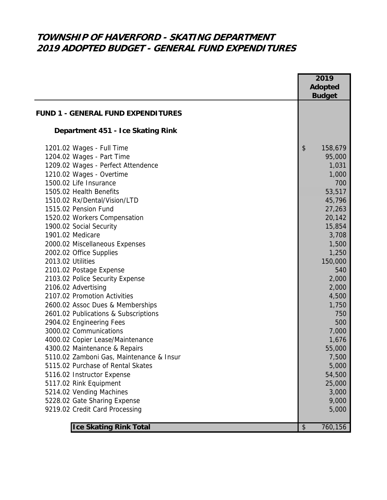## **TOWNSHIP OF HAVERFORD - SKATING DEPARTMENT 2019 ADOPTED BUDGET - GENERAL FUND EXPENDITURES**

|                                           | 2019                                 |
|-------------------------------------------|--------------------------------------|
|                                           | <b>Adopted</b>                       |
|                                           | <b>Budget</b>                        |
|                                           |                                      |
| <b>FUND 1 - GENERAL FUND EXPENDITURES</b> |                                      |
| Department 451 - Ice Skating Rink         |                                      |
| 1201.02 Wages - Full Time                 | $\boldsymbol{\mathsf{S}}$<br>158,679 |
| 1204.02 Wages - Part Time                 | 95,000                               |
| 1209.02 Wages - Perfect Attendence        | 1,031                                |
| 1210.02 Wages - Overtime                  | 1,000                                |
| 1500.02 Life Insurance                    | 700                                  |
| 1505.02 Health Benefits                   | 53,517                               |
| 1510.02 Rx/Dental/Vision/LTD              | 45,796                               |
| 1515.02 Pension Fund                      | 27,263                               |
| 1520.02 Workers Compensation              | 20,142                               |
| 1900.02 Social Security                   | 15,854                               |
| 1901.02 Medicare                          | 3,708                                |
| 2000.02 Miscellaneous Expenses            | 1,500                                |
| 2002.02 Office Supplies                   | 1,250                                |
| 2013.02 Utilities                         | 150,000                              |
| 2101.02 Postage Expense                   | 540                                  |
| 2103.02 Police Security Expense           | 2,000                                |
| 2106.02 Advertising                       | 2,000                                |
| 2107.02 Promotion Activities              | 4,500                                |
| 2600.02 Assoc Dues & Memberships          | 1,750                                |
| 2601.02 Publications & Subscriptions      | 750                                  |
| 2904.02 Engineering Fees                  | 500                                  |
| 3000.02 Communications                    | 7,000                                |
| 4000.02 Copier Lease/Maintenance          | 1,676                                |
| 4300.02 Maintenance & Repairs             | 55,000                               |
| 5110.02 Zamboni Gas, Maintenance & Insur  | 7,500                                |
| 5115.02 Purchase of Rental Skates         | 5,000                                |
| 5116.02 Instructor Expense                | 54,500                               |
| 5117.02 Rink Equipment                    | 25,000                               |
| 5214.02 Vending Machines                  | 3,000                                |
| 5228.02 Gate Sharing Expense              | 9,000                                |
| 9219.02 Credit Card Processing            | 5,000                                |
| <b>Ice Skating Rink Total</b>             | 760,156<br>\$                        |
|                                           |                                      |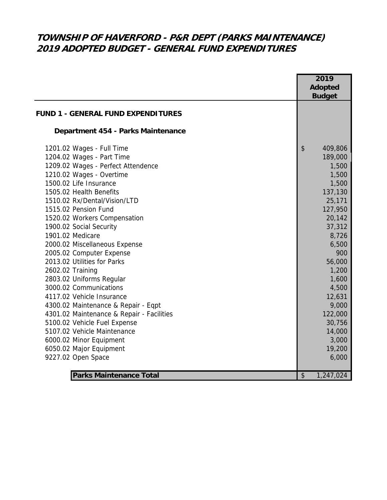# **TOWNSHIP OF HAVERFORD - P&R DEPT (PARKS MAINTENANCE) 2019 ADOPTED BUDGET - GENERAL FUND EXPENDITURES**

|                                           | 2019<br><b>Adopted</b> |
|-------------------------------------------|------------------------|
|                                           | <b>Budget</b>          |
| <b>FUND 1 - GENERAL FUND EXPENDITURES</b> |                        |
| Department 454 - Parks Maintenance        |                        |
| 1201.02 Wages - Full Time                 | \$<br>409,806          |
| 1204.02 Wages - Part Time                 | 189,000                |
| 1209.02 Wages - Perfect Attendence        | 1,500                  |
| 1210.02 Wages - Overtime                  | 1,500                  |
| 1500.02 Life Insurance                    | 1,500                  |
| 1505.02 Health Benefits                   | 137,130                |
| 1510.02 Rx/Dental/Vision/LTD              | 25,171                 |
| 1515.02 Pension Fund                      | 127,950                |
| 1520.02 Workers Compensation              | 20,142                 |
| 1900.02 Social Security                   | 37,312                 |
| 1901.02 Medicare                          | 8,726                  |
| 2000.02 Miscellaneous Expense             | 6,500                  |
| 2005.02 Computer Expense                  | 900                    |
| 2013.02 Utilities for Parks               | 56,000                 |
| 2602.02 Training                          | 1,200                  |
| 2803.02 Uniforms Regular                  | 1,600                  |
| 3000.02 Communications                    | 4,500                  |
| 4117.02 Vehicle Insurance                 | 12,631                 |
| 4300.02 Maintenance & Repair - Eqpt       | 9,000                  |
| 4301.02 Maintenance & Repair - Facilities | 122,000                |
| 5100.02 Vehicle Fuel Expense              | 30,756                 |
| 5107.02 Vehicle Maintenance               | 14,000                 |
| 6000.02 Minor Equipment                   | 3,000                  |
| 6050.02 Major Equipment                   | 19,200                 |
| 9227.02 Open Space                        | 6,000                  |
|                                           |                        |
| <b>Parks Maintenance Total</b>            | \$<br>1,247,024        |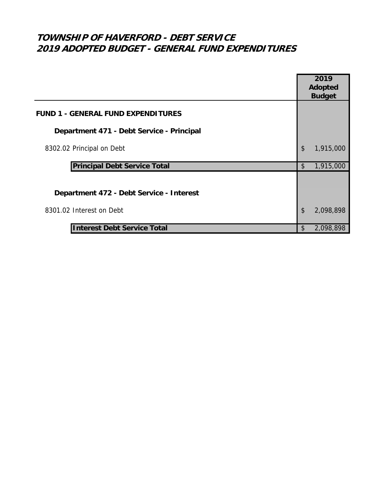# **TOWNSHIP OF HAVERFORD - DEBT SERVICE 2019 ADOPTED BUDGET - GENERAL FUND EXPENDITURES**

|                                           |                           | 2019          |
|-------------------------------------------|---------------------------|---------------|
|                                           |                           | Adopted       |
|                                           |                           | <b>Budget</b> |
| <b>FUND 1 - GENERAL FUND EXPENDITURES</b> |                           |               |
| Department 471 - Debt Service - Principal |                           |               |
| 8302.02 Principal on Debt                 | $\boldsymbol{\mathsf{S}}$ | 1,915,000     |
| <b>Principal Debt Service Total</b>       |                           | 1,915,000     |
|                                           |                           |               |
| Department 472 - Debt Service - Interest  |                           |               |
| 8301.02 Interest on Debt                  | \$                        | 2,098,898     |
| <b>Interest Debt Service Total</b>        | \$                        | 2,098,898     |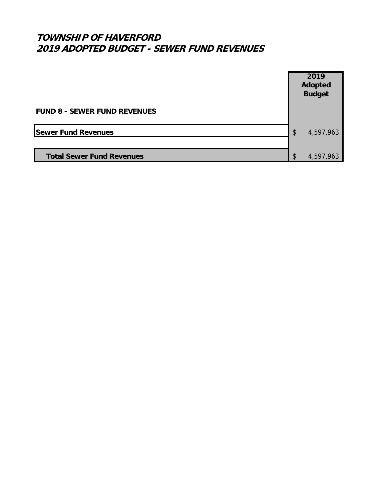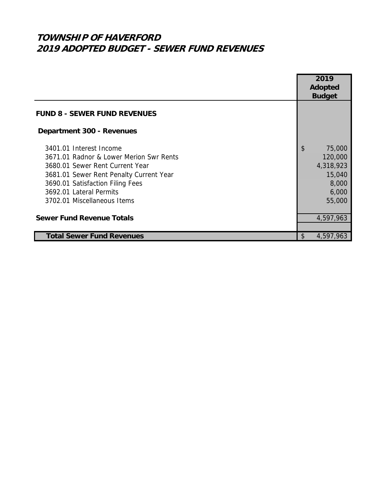|                                         | 2019            |  |
|-----------------------------------------|-----------------|--|
|                                         | Adopted         |  |
|                                         | <b>Budget</b>   |  |
|                                         |                 |  |
| <b>FUND 8 - SEWER FUND REVENUES</b>     |                 |  |
| Department 300 - Revenues               |                 |  |
| 3401.01 Interest Income                 | \$<br>75,000    |  |
| 3671.01 Radnor & Lower Merion Swr Rents | 120,000         |  |
| 3680.01 Sewer Rent Current Year         | 4,318,923       |  |
| 3681.01 Sewer Rent Penalty Current Year | 15,040          |  |
| 3690.01 Satisfaction Filing Fees        | 8,000           |  |
| 3692.01 Lateral Permits                 | 6,000           |  |
| 3702.01 Miscellaneous Items             | 55,000          |  |
|                                         |                 |  |
| <b>Sewer Fund Revenue Totals</b>        | 4,597,963       |  |
|                                         |                 |  |
| <b>Total Sewer Fund Revenues</b>        | \$<br>4,597,963 |  |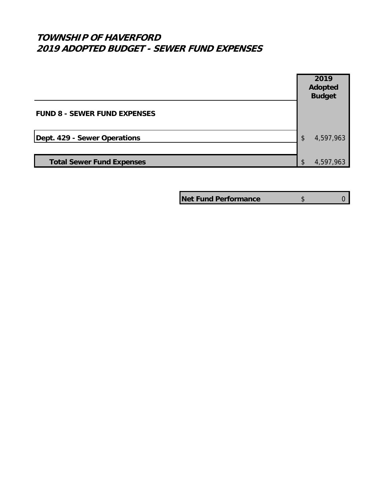

**Net Fund Performance**  $\qquad \qquad$  \$ 0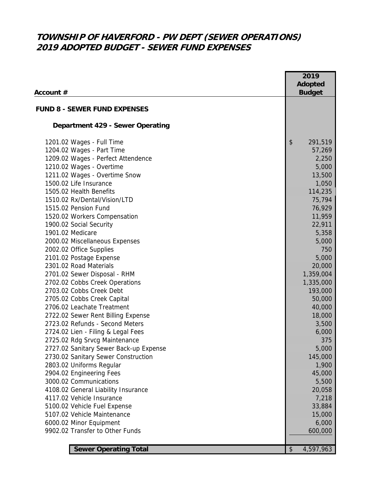# **TOWNSHIP OF HAVERFORD - PW DEPT (SEWER OPERATIONS) 2019 ADOPTED BUDGET - SEWER FUND EXPENSES**

| Account #                                                                                                                                                                                                                                                                                                                                                                                                                                                                                                                                                                                                                          | 2019<br><b>Adopted</b><br><b>Budget</b>                                                                                                                                                                              |
|------------------------------------------------------------------------------------------------------------------------------------------------------------------------------------------------------------------------------------------------------------------------------------------------------------------------------------------------------------------------------------------------------------------------------------------------------------------------------------------------------------------------------------------------------------------------------------------------------------------------------------|----------------------------------------------------------------------------------------------------------------------------------------------------------------------------------------------------------------------|
| <b>FUND 8 - SEWER FUND EXPENSES</b>                                                                                                                                                                                                                                                                                                                                                                                                                                                                                                                                                                                                |                                                                                                                                                                                                                      |
| Department 429 - Sewer Operating                                                                                                                                                                                                                                                                                                                                                                                                                                                                                                                                                                                                   |                                                                                                                                                                                                                      |
| 1201.02 Wages - Full Time<br>1204.02 Wages - Part Time<br>1209.02 Wages - Perfect Attendence<br>1210.02 Wages - Overtime<br>1211.02 Wages - Overtime Snow<br>1500.02 Life Insurance<br>1505.02 Health Benefits<br>1510.02 Rx/Dental/Vision/LTD<br>1515.02 Pension Fund<br>1520.02 Workers Compensation<br>1900.02 Social Security<br>1901.02 Medicare<br>2000.02 Miscellaneous Expenses<br>2002.02 Office Supplies<br>2101.02 Postage Expense<br>2301.02 Road Materials<br>2701.02 Sewer Disposal - RHM<br>2702.02 Cobbs Creek Operations<br>2703.02 Cobbs Creek Debt<br>2705.02 Cobbs Creek Capital<br>2706.02 Leachate Treatment | \$<br>291,519<br>57,269<br>2,250<br>5,000<br>13,500<br>1,050<br>114,235<br>75,794<br>76,929<br>11,959<br>22,911<br>5,358<br>5,000<br>750<br>5,000<br>20,000<br>1,359,004<br>1,335,000<br>193,000<br>50,000<br>40,000 |
| 2722.02 Sewer Rent Billing Expense<br>2723.02 Refunds - Second Meters<br>2724.02 Lien - Filing & Legal Fees<br>2725.02 Rdg Srvcg Maintenance<br>2727.02 Sanitary Sewer Back-up Expense<br>2730.02 Sanitary Sewer Construction<br>2803.02 Uniforms Regular<br>2904.02 Engineering Fees<br>3000.02 Communications<br>4108.02 General Liability Insurance<br>4117.02 Vehicle Insurance<br>5100.02 Vehicle Fuel Expense<br>5107.02 Vehicle Maintenance<br>6000.02 Minor Equipment<br>9902.02 Transfer to Other Funds                                                                                                                   | 18,000<br>3,500<br>6,000<br>375<br>5,000<br>145,000<br>1,900<br>45,000<br>5,500<br>20,058<br>7,218<br>33,884<br>15,000<br>6,000<br>600,000                                                                           |
| <b>Sewer Operating Total</b>                                                                                                                                                                                                                                                                                                                                                                                                                                                                                                                                                                                                       | \$<br>4,597,963                                                                                                                                                                                                      |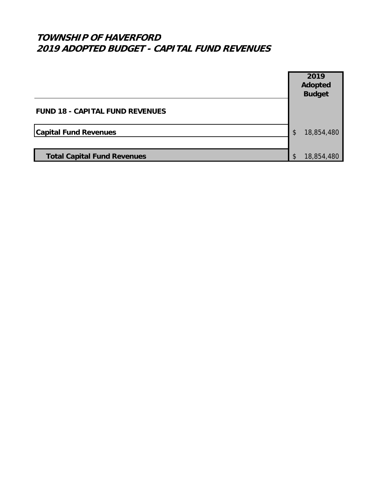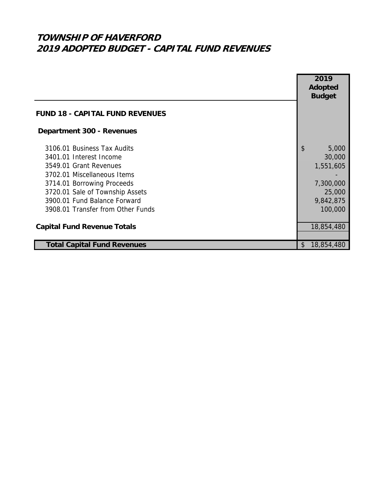|                                        | 2019                               |
|----------------------------------------|------------------------------------|
|                                        | <b>Adopted</b>                     |
|                                        | <b>Budget</b>                      |
|                                        |                                    |
| <b>FUND 18 - CAPITAL FUND REVENUES</b> |                                    |
| <b>Department 300 - Revenues</b>       |                                    |
| 3106.01 Business Tax Audits            | $\boldsymbol{\mathsf{S}}$<br>5,000 |
| 3401.01 Interest Income                | 30,000                             |
| 3549.01 Grant Revenues                 | 1,551,605                          |
| 3702.01 Miscellaneous Items            |                                    |
| 3714.01 Borrowing Proceeds             | 7,300,000                          |
| 3720.01 Sale of Township Assets        | 25,000                             |
| 3900.01 Fund Balance Forward           | 9,842,875                          |
| 3908.01 Transfer from Other Funds      | 100,000                            |
|                                        |                                    |
| <b>Capital Fund Revenue Totals</b>     | 18,854,480                         |
|                                        |                                    |
| <b>Total Capital Fund Revenues</b>     | 18,854,480<br>$\mathfrak{L}$       |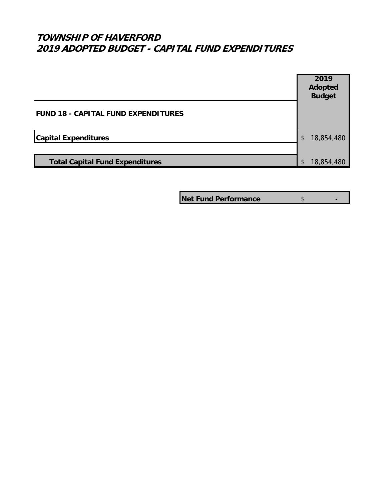## **TOWNSHIP OF HAVERFORD 2019 ADOPTED BUDGET - CAPITAL FUND EXPENDITURES**

|                                            |                | 2019<br><b>Adopted</b> |
|--------------------------------------------|----------------|------------------------|
|                                            |                | <b>Budget</b>          |
| <b>FUND 18 - CAPITAL FUND EXPENDITURES</b> |                |                        |
| <b>Capital Expenditures</b>                | $\mathfrak{S}$ | 18,854,480             |
|                                            |                |                        |
| <b>Total Capital Fund Expenditures</b>     | \$             | 18,854,480             |

**Net Fund Performance \$** 5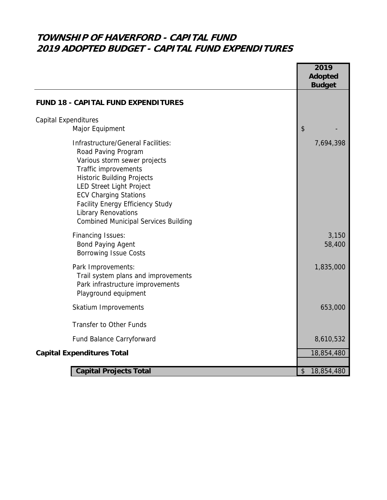# **TOWNSHIP OF HAVERFORD - CAPITAL FUND 2019 ADOPTED BUDGET - CAPITAL FUND EXPENDITURES**

|                                                                                                                                                                                                                                                                                                                                                   | 2019<br><b>Adopted</b><br><b>Budget</b> |
|---------------------------------------------------------------------------------------------------------------------------------------------------------------------------------------------------------------------------------------------------------------------------------------------------------------------------------------------------|-----------------------------------------|
| <b>FUND 18 - CAPITAL FUND EXPENDITURES</b>                                                                                                                                                                                                                                                                                                        |                                         |
| <b>Capital Expenditures</b><br>Major Equipment                                                                                                                                                                                                                                                                                                    | \$                                      |
| Infrastructure/General Facilities:<br>Road Paving Program<br>Various storm sewer projects<br>Traffic improvements<br><b>Historic Building Projects</b><br><b>LED Street Light Project</b><br><b>ECV Charging Stations</b><br><b>Facility Energy Efficiency Study</b><br><b>Library Renovations</b><br><b>Combined Municipal Services Building</b> | 7,694,398                               |
| <b>Financing Issues:</b><br><b>Bond Paying Agent</b><br><b>Borrowing Issue Costs</b>                                                                                                                                                                                                                                                              | 3,150<br>58,400                         |
| Park Improvements:<br>Trail system plans and improvements<br>Park infrastructure improvements<br>Playground equipment                                                                                                                                                                                                                             | 1,835,000                               |
| Skatium Improvements                                                                                                                                                                                                                                                                                                                              | 653,000                                 |
| <b>Transfer to Other Funds</b>                                                                                                                                                                                                                                                                                                                    |                                         |
| Fund Balance Carryforward                                                                                                                                                                                                                                                                                                                         | 8,610,532                               |
| <b>Capital Expenditures Total</b>                                                                                                                                                                                                                                                                                                                 | 18,854,480                              |
| <b>Capital Projects Total</b>                                                                                                                                                                                                                                                                                                                     | 18,854,480<br>$\sqrt[6]{\frac{1}{2}}$   |